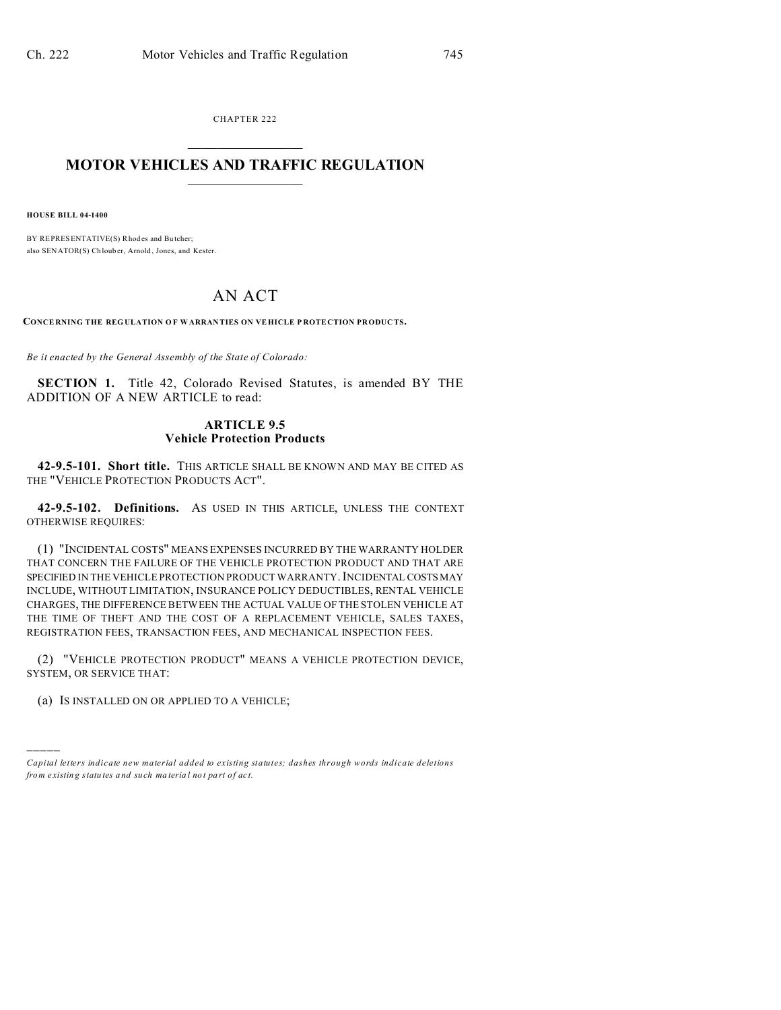CHAPTER 222  $\overline{\phantom{a}}$  , where  $\overline{\phantom{a}}$ 

## **MOTOR VEHICLES AND TRAFFIC REGULATION**  $\frac{1}{2}$  ,  $\frac{1}{2}$  ,  $\frac{1}{2}$  ,  $\frac{1}{2}$  ,  $\frac{1}{2}$  ,  $\frac{1}{2}$  ,  $\frac{1}{2}$

**HOUSE BILL 04-1400**

)))))

BY REPRESENTATIVE(S) Rhodes and Bu tcher; also SENATOR(S) Chlouber, Arnold, Jones, and Kester.

## AN ACT

**CONCE RNING THE REGULATION O F W ARRAN TIES ON VE HICLE P ROTE CTION PRODUC TS.**

*Be it enacted by the General Assembly of the State of Colorado:*

**SECTION 1.** Title 42, Colorado Revised Statutes, is amended BY THE ADDITION OF A NEW ARTICLE to read:

## **ARTICLE 9.5 Vehicle Protection Products**

**42-9.5-101. Short title.** THIS ARTICLE SHALL BE KNOWN AND MAY BE CITED AS THE "VEHICLE PROTECTION PRODUCTS ACT".

**42-9.5-102. Definitions.** AS USED IN THIS ARTICLE, UNLESS THE CONTEXT OTHERWISE REQUIRES:

(1) "INCIDENTAL COSTS" MEANS EXPENSES INCURRED BY THE WARRANTY HOLDER THAT CONCERN THE FAILURE OF THE VEHICLE PROTECTION PRODUCT AND THAT ARE SPECIFIED IN THE VEHICLE PROTECTION PRODUCT WARRANTY. INCIDENTAL COSTS MAY INCLUDE, WITHOUT LIMITATION, INSURANCE POLICY DEDUCTIBLES, RENTAL VEHICLE CHARGES, THE DIFFERENCE BETWEEN THE ACTUAL VALUE OF THE STOLEN VEHICLE AT THE TIME OF THEFT AND THE COST OF A REPLACEMENT VEHICLE, SALES TAXES, REGISTRATION FEES, TRANSACTION FEES, AND MECHANICAL INSPECTION FEES.

(2) "VEHICLE PROTECTION PRODUCT" MEANS A VEHICLE PROTECTION DEVICE, SYSTEM, OR SERVICE THAT:

(a) IS INSTALLED ON OR APPLIED TO A VEHICLE;

*Capital letters indicate new material added to existing statutes; dashes through words indicate deletions from e xistin g statu tes a nd such ma teria l no t pa rt of ac t.*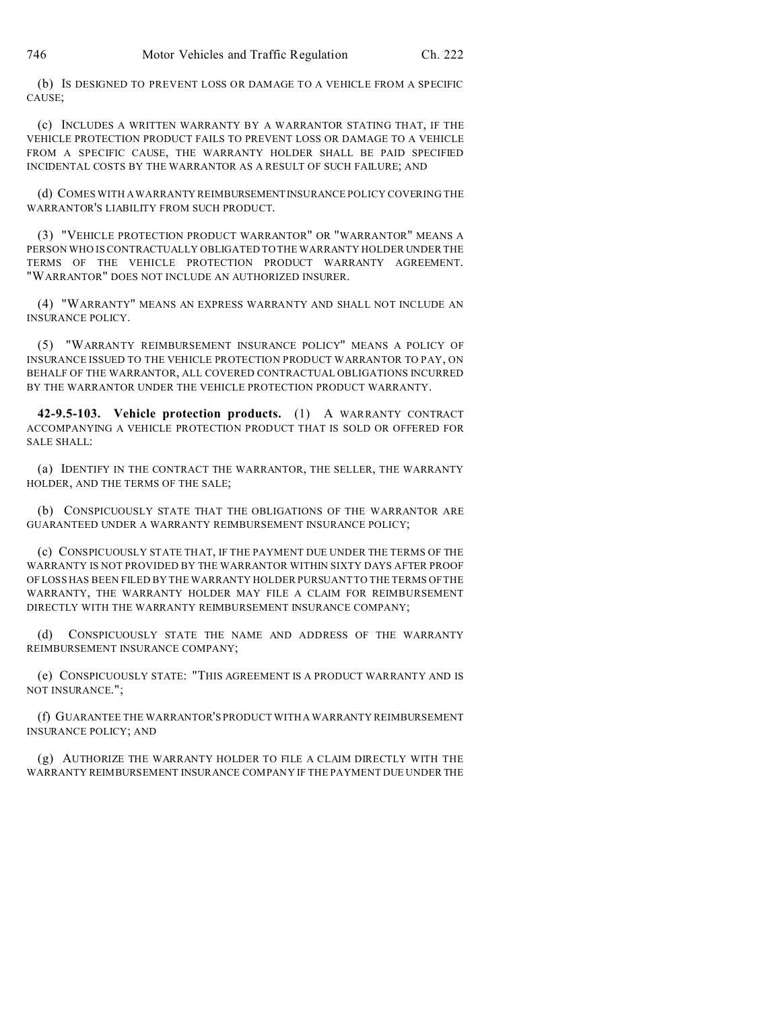(b) IS DESIGNED TO PREVENT LOSS OR DAMAGE TO A VEHICLE FROM A SPECIFIC CAUSE;

(c) INCLUDES A WRITTEN WARRANTY BY A WARRANTOR STATING THAT, IF THE VEHICLE PROTECTION PRODUCT FAILS TO PREVENT LOSS OR DAMAGE TO A VEHICLE FROM A SPECIFIC CAUSE, THE WARRANTY HOLDER SHALL BE PAID SPECIFIED INCIDENTAL COSTS BY THE WARRANTOR AS A RESULT OF SUCH FAILURE; AND

(d) COMES WITH A WARRANTY REIMBURSEMENTINSURANCE POLICY COVERING THE WARRANTOR'S LIABILITY FROM SUCH PRODUCT.

(3) "VEHICLE PROTECTION PRODUCT WARRANTOR" OR "WARRANTOR" MEANS A PERSON WHO IS CONTRACTUALLY OBLIGATED TO THE WARRANTY HOLDER UNDER THE TERMS OF THE VEHICLE PROTECTION PRODUCT WARRANTY AGREEMENT. "WARRANTOR" DOES NOT INCLUDE AN AUTHORIZED INSURER.

(4) "WARRANTY" MEANS AN EXPRESS WARRANTY AND SHALL NOT INCLUDE AN INSURANCE POLICY.

(5) "WARRANTY REIMBURSEMENT INSURANCE POLICY" MEANS A POLICY OF INSURANCE ISSUED TO THE VEHICLE PROTECTION PRODUCT WARRANTOR TO PAY, ON BEHALF OF THE WARRANTOR, ALL COVERED CONTRACTUAL OBLIGATIONS INCURRED BY THE WARRANTOR UNDER THE VEHICLE PROTECTION PRODUCT WARRANTY.

**42-9.5-103. Vehicle protection products.** (1) A WARRANTY CONTRACT ACCOMPANYING A VEHICLE PROTECTION PRODUCT THAT IS SOLD OR OFFERED FOR SALE SHALL:

(a) IDENTIFY IN THE CONTRACT THE WARRANTOR, THE SELLER, THE WARRANTY HOLDER, AND THE TERMS OF THE SALE;

(b) CONSPICUOUSLY STATE THAT THE OBLIGATIONS OF THE WARRANTOR ARE GUARANTEED UNDER A WARRANTY REIMBURSEMENT INSURANCE POLICY;

(c) CONSPICUOUSLY STATE THAT, IF THE PAYMENT DUE UNDER THE TERMS OF THE WARRANTY IS NOT PROVIDED BY THE WARRANTOR WITHIN SIXTY DAYS AFTER PROOF OF LOSS HAS BEEN FILED BY THE WARRANTY HOLDER PURSUANT TO THE TERMS OF THE WARRANTY, THE WARRANTY HOLDER MAY FILE A CLAIM FOR REIMBURSEMENT DIRECTLY WITH THE WARRANTY REIMBURSEMENT INSURANCE COMPANY;

(d) CONSPICUOUSLY STATE THE NAME AND ADDRESS OF THE WARRANTY REIMBURSEMENT INSURANCE COMPANY;

(e) CONSPICUOUSLY STATE: "THIS AGREEMENT IS A PRODUCT WARRANTY AND IS NOT INSURANCE.";

(f) GUARANTEE THE WARRANTOR'S PRODUCT WITH A WARRANTY REIMBURSEMENT INSURANCE POLICY; AND

(g) AUTHORIZE THE WARRANTY HOLDER TO FILE A CLAIM DIRECTLY WITH THE WARRANTY REIMBURSEMENT INSURANCE COMPANY IF THE PAYMENT DUE UNDER THE